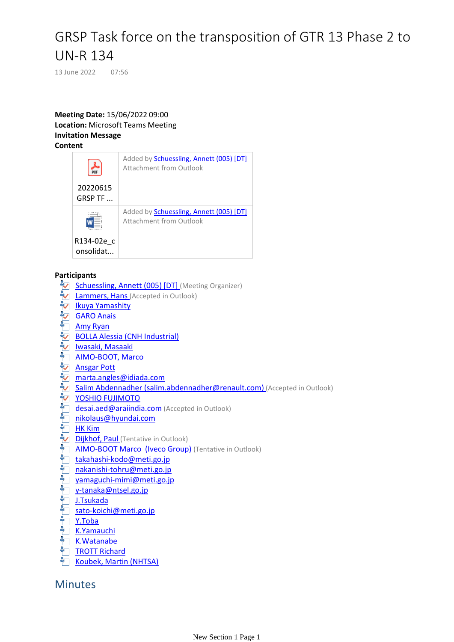# GRSP Task force on the transposition of GTR 13 Phase 2 to UN-R 134

13 June 2022 07:56

#### **Meeting Date:** 15/06/2022 09:00 **Location:** Microsoft Teams Meeting **Invitation Message Content**



## **Participants**

- Schuessling, Annett (005) [DT] (Meeting Organizer)
- **[Lam](mailto:hlammers@rdw.nl)mers, Hans** (Accepted in Outlook)
- **Ikuya Yamashity**
- **V** [GA](mailto:anais.garo@utac.com)RO Anais
- [A](mailto:amy.ryan@toyota.com)[my](mailto:alessia.bolla@cnhind.com) Ryan
- BOLLA Alessia (CNH Industrial)
- [Iwa](mailto:masaaki_iwasaki@mail.toyota.co.jp)saki, Masaaki
- AIMO-BOOT, Marco
- **[An](mailto:apott@hyundai-europe.com)sgar Pott**
- **M** marta.angles@idiada.com
- [Salim Abd](mailto:salim.abdennadher@renault.com)ennadher (salim.abdennadher@renault.com) (Accepted in Outlook)
- [YOSH](mailto:desai.aed@araiindia.com)IO FUJIMOTO
- desai.aed@araiindia.com (Accepted in Outlook)
- [niko](mailto:nikolaus@hyundai.com)laus@hyundai.com
- <u>HK Kim</u>
- [Dij](mailto:paul.dijkhof@kiwa.com)khof, Paul (Tentative in Outlook)
- **AIMO-BOOT Marco (Iveco Group)** (Tentative in Outlook)
- [takah](mailto:takahashi-kodo@meti.go.jp)ashi-kodo@meti.go.jp
- [naka](mailto:yamaguchi-mimi@meti.go.jp)nishi-tohru@meti.go.jp
- yamaguchi-mimi@meti.go.jp
- [y-ta](mailto:y-tanaka@ntsel.go.jp)naka@ntsel.go.jp
- J.Tsukada
- [sato](mailto:sato-koichi@meti.go.jp)-koichi@meti.go.jp
- Y.Toba
- [K.Y](mailto:yamauchi@jasic.org)amauchi
- [K.W](mailto:richard.trott@forvia.com)atanabe
- TROTT Richard
- [Koub](mailto:Martin.Koubek@dot.gov)ek, Martin (NHTSA)

# **Minutes**